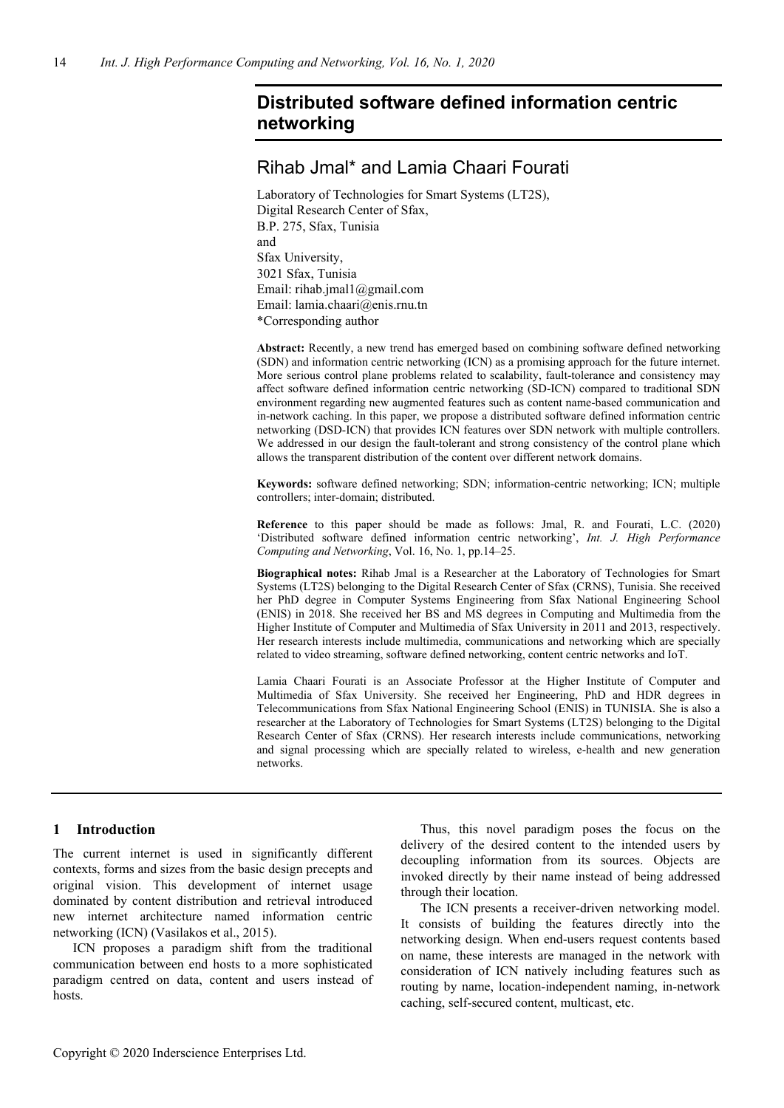# **Distributed software defined information centric networking**

# Rihab Jmal\* and Lamia Chaari Fourati

Laboratory of Technologies for Smart Systems (LT2S), Digital Research Center of Sfax, B.P. 275, Sfax, Tunisia and Sfax University, 3021 Sfax, Tunisia Email: rihab.jmal1@gmail.com Email: lamia.chaari@enis.rnu.tn \*Corresponding author

**Abstract:** Recently, a new trend has emerged based on combining software defined networking (SDN) and information centric networking (ICN) as a promising approach for the future internet. More serious control plane problems related to scalability, fault-tolerance and consistency may affect software defined information centric networking (SD-ICN) compared to traditional SDN environment regarding new augmented features such as content name-based communication and in-network caching. In this paper, we propose a distributed software defined information centric networking (DSD-ICN) that provides ICN features over SDN network with multiple controllers. We addressed in our design the fault-tolerant and strong consistency of the control plane which allows the transparent distribution of the content over different network domains.

**Keywords:** software defined networking; SDN; information-centric networking; ICN; multiple controllers; inter-domain; distributed.

**Reference** to this paper should be made as follows: Jmal, R. and Fourati, L.C. (2020) 'Distributed software defined information centric networking', *Int. J. High Performance Computing and Networking*, Vol. 16, No. 1, pp.14–25.

**Biographical notes:** Rihab Jmal is a Researcher at the Laboratory of Technologies for Smart Systems (LT2S) belonging to the Digital Research Center of Sfax (CRNS), Tunisia. She received her PhD degree in Computer Systems Engineering from Sfax National Engineering School (ENIS) in 2018. She received her BS and MS degrees in Computing and Multimedia from the Higher Institute of Computer and Multimedia of Sfax University in 2011 and 2013, respectively. Her research interests include multimedia, communications and networking which are specially related to video streaming, software defined networking, content centric networks and IoT.

Lamia Chaari Fourati is an Associate Professor at the Higher Institute of Computer and Multimedia of Sfax University. She received her Engineering, PhD and HDR degrees in Telecommunications from Sfax National Engineering School (ENIS) in TUNISIA. She is also a researcher at the Laboratory of Technologies for Smart Systems (LT2S) belonging to the Digital Research Center of Sfax (CRNS). Her research interests include communications, networking and signal processing which are specially related to wireless, e-health and new generation networks.

# **1 Introduction**

The current internet is used in significantly different contexts, forms and sizes from the basic design precepts and original vision. This development of internet usage dominated by content distribution and retrieval introduced new internet architecture named information centric networking (ICN) (Vasilakos et al., 2015).

ICN proposes a paradigm shift from the traditional communication between end hosts to a more sophisticated paradigm centred on data, content and users instead of hosts.

Thus, this novel paradigm poses the focus on the delivery of the desired content to the intended users by decoupling information from its sources. Objects are invoked directly by their name instead of being addressed through their location.

The ICN presents a receiver-driven networking model. It consists of building the features directly into the networking design. When end-users request contents based on name, these interests are managed in the network with consideration of ICN natively including features such as routing by name, location-independent naming, in-network caching, self-secured content, multicast, etc.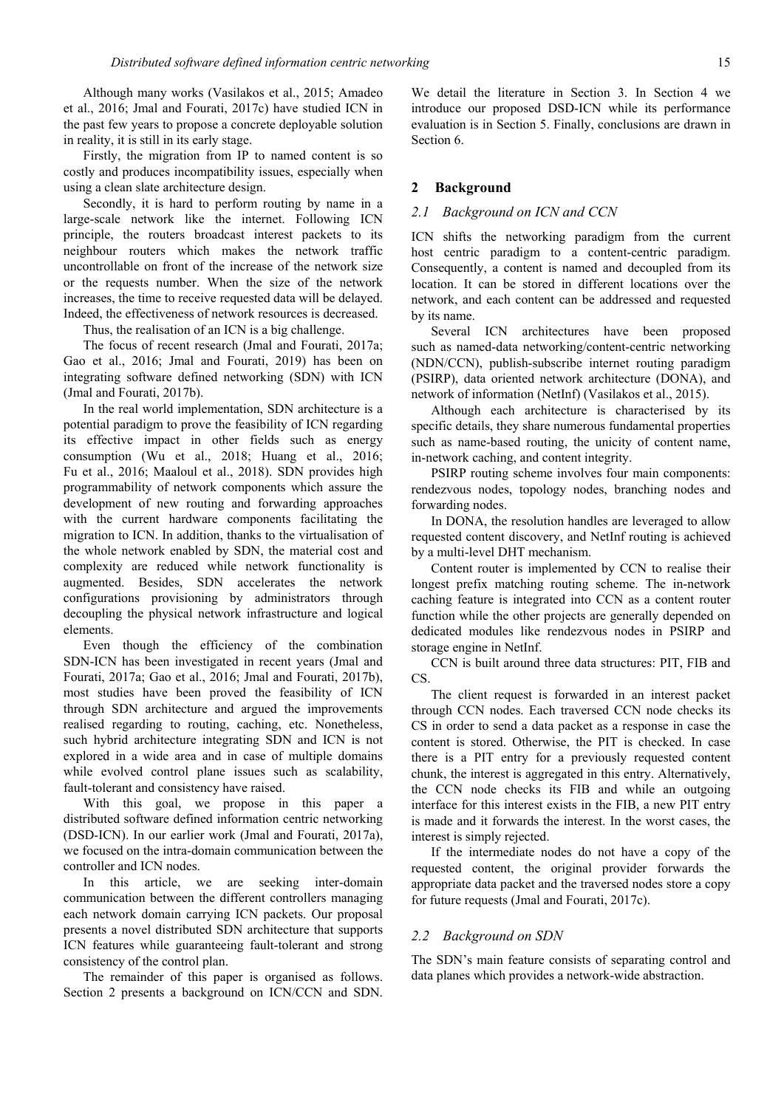Although many works (Vasilakos et al., 2015; Amadeo et al., 2016; Jmal and Fourati, 2017c) have studied ICN in the past few years to propose a concrete deployable solution in reality, it is still in its early stage.

Firstly, the migration from IP to named content is so costly and produces incompatibility issues, especially when using a clean slate architecture design.

Secondly, it is hard to perform routing by name in a large-scale network like the internet. Following ICN principle, the routers broadcast interest packets to its neighbour routers which makes the network traffic uncontrollable on front of the increase of the network size or the requests number. When the size of the network increases, the time to receive requested data will be delayed. Indeed, the effectiveness of network resources is decreased.

Thus, the realisation of an ICN is a big challenge.

The focus of recent research (Jmal and Fourati, 2017a; Gao et al., 2016; Jmal and Fourati, 2019) has been on integrating software defined networking (SDN) with ICN (Jmal and Fourati, 2017b).

In the real world implementation, SDN architecture is a potential paradigm to prove the feasibility of ICN regarding its effective impact in other fields such as energy consumption (Wu et al., 2018; Huang et al., 2016; Fu et al., 2016; Maaloul et al., 2018). SDN provides high programmability of network components which assure the development of new routing and forwarding approaches with the current hardware components facilitating the migration to ICN. In addition, thanks to the virtualisation of the whole network enabled by SDN, the material cost and complexity are reduced while network functionality is augmented. Besides, SDN accelerates the network configurations provisioning by administrators through decoupling the physical network infrastructure and logical elements.

Even though the efficiency of the combination SDN-ICN has been investigated in recent years (Jmal and Fourati, 2017a; Gao et al., 2016; Jmal and Fourati, 2017b), most studies have been proved the feasibility of ICN through SDN architecture and argued the improvements realised regarding to routing, caching, etc. Nonetheless, such hybrid architecture integrating SDN and ICN is not explored in a wide area and in case of multiple domains while evolved control plane issues such as scalability, fault-tolerant and consistency have raised.

With this goal, we propose in this paper a distributed software defined information centric networking (DSD-ICN). In our earlier work (Jmal and Fourati, 2017a), we focused on the intra-domain communication between the controller and ICN nodes.

In this article, we are seeking inter-domain communication between the different controllers managing each network domain carrying ICN packets. Our proposal presents a novel distributed SDN architecture that supports ICN features while guaranteeing fault-tolerant and strong consistency of the control plan.

The remainder of this paper is organised as follows. Section 2 presents a background on ICN/CCN and SDN.

We detail the literature in Section 3. In Section 4 we introduce our proposed DSD-ICN while its performance evaluation is in Section 5. Finally, conclusions are drawn in Section 6.

#### **2 Background**

#### *2.1 Background on ICN and CCN*

ICN shifts the networking paradigm from the current host centric paradigm to a content-centric paradigm. Consequently, a content is named and decoupled from its location. It can be stored in different locations over the network, and each content can be addressed and requested by its name.

Several ICN architectures have been proposed such as named-data networking/content-centric networking (NDN/CCN), publish-subscribe internet routing paradigm (PSIRP), data oriented network architecture (DONA), and network of information (NetInf) (Vasilakos et al., 2015).

Although each architecture is characterised by its specific details, they share numerous fundamental properties such as name-based routing, the unicity of content name, in-network caching, and content integrity.

PSIRP routing scheme involves four main components: rendezvous nodes, topology nodes, branching nodes and forwarding nodes.

In DONA, the resolution handles are leveraged to allow requested content discovery, and NetInf routing is achieved by a multi-level DHT mechanism.

Content router is implemented by CCN to realise their longest prefix matching routing scheme. The in-network caching feature is integrated into CCN as a content router function while the other projects are generally depended on dedicated modules like rendezvous nodes in PSIRP and storage engine in NetInf.

CCN is built around three data structures: PIT, FIB and CS.

The client request is forwarded in an interest packet through CCN nodes. Each traversed CCN node checks its CS in order to send a data packet as a response in case the content is stored. Otherwise, the PIT is checked. In case there is a PIT entry for a previously requested content chunk, the interest is aggregated in this entry. Alternatively, the CCN node checks its FIB and while an outgoing interface for this interest exists in the FIB, a new PIT entry is made and it forwards the interest. In the worst cases, the interest is simply rejected.

If the intermediate nodes do not have a copy of the requested content, the original provider forwards the appropriate data packet and the traversed nodes store a copy for future requests (Jmal and Fourati, 2017c).

#### *2.2 Background on SDN*

The SDN's main feature consists of separating control and data planes which provides a network-wide abstraction.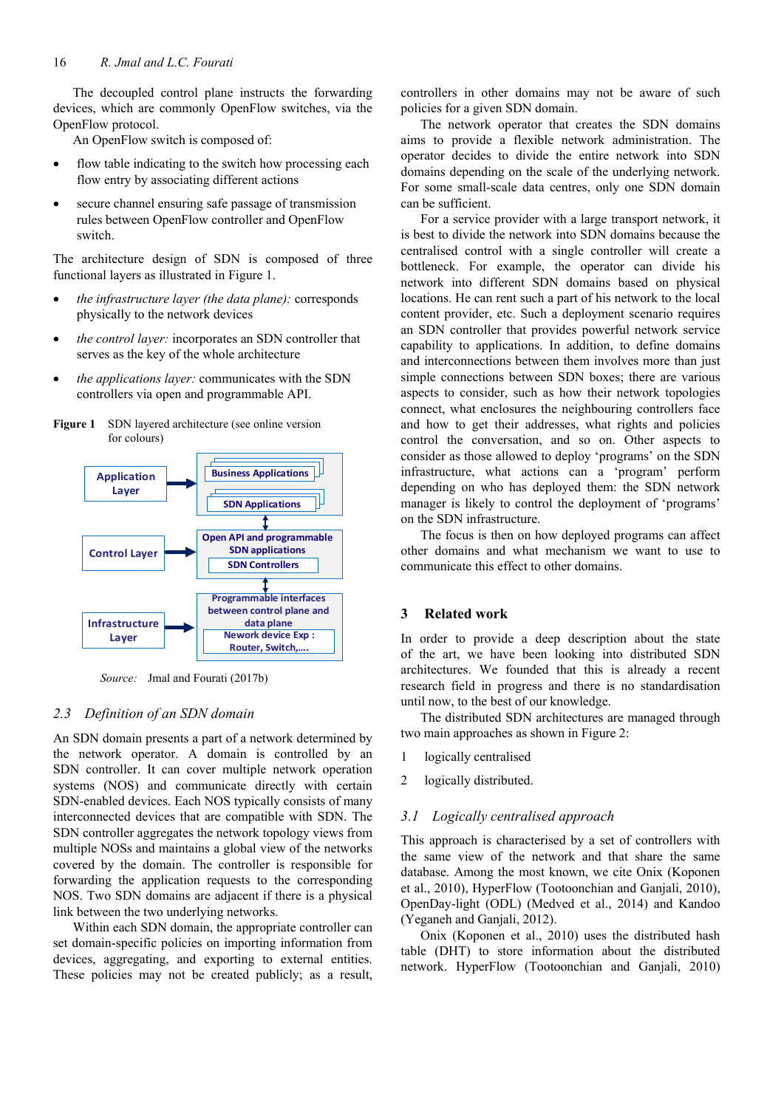The decoupled control plane instructs the forwarding devices, which are commonly OpenFlow switches, via the OpenFlow protocol.

An OpenFlow switch is composed of:

- flow table indicating to the switch how processing each flow entry by associating different actions
- secure channel ensuring safe passage of transmission rules between OpenFlow controller and OpenFlow switch.

The architecture design of SDN is composed of three functional layers as illustrated in Figure 1.

- *the infrastructure layer (the data plane):* corresponds physically to the network devices
- *the control layer:* incorporates an SDN controller that serves as the key of the whole architecture
- *the applications layer:* communicates with the SDN controllers via open and programmable API.





*Source:* Jmal and Fourati (2017b)

### *2.3 Definition of an SDN domain*

An SDN domain presents a part of a network determined by the network operator. A domain is controlled by an SDN controller. It can cover multiple network operation systems (NOS) and communicate directly with certain SDN-enabled devices. Each NOS typically consists of many interconnected devices that are compatible with SDN. The SDN controller aggregates the network topology views from multiple NOSs and maintains a global view of the networks covered by the domain. The controller is responsible for forwarding the application requests to the corresponding NOS. Two SDN domains are adjacent if there is a physical link between the two underlying networks.

Within each SDN domain, the appropriate controller can set domain-specific policies on importing information from devices, aggregating, and exporting to external entities. These policies may not be created publicly; as a result, controllers in other domains may not be aware of such policies for a given SDN domain.

The network operator that creates the SDN domains aims to provide a flexible network administration. The operator decides to divide the entire network into SDN domains depending on the scale of the underlying network. For some small-scale data centres, only one SDN domain can be sufficient.

For a service provider with a large transport network, it is best to divide the network into SDN domains because the centralised control with a single controller will create a bottleneck. For example, the operator can divide his network into different SDN domains based on physical locations. He can rent such a part of his network to the local content provider, etc. Such a deployment scenario requires an SDN controller that provides powerful network service capability to applications. In addition, to define domains and interconnections between them involves more than just simple connections between SDN boxes; there are various aspects to consider, such as how their network topologies connect, what enclosures the neighbouring controllers face and how to get their addresses, what rights and policies control the conversation, and so on. Other aspects to consider as those allowed to deploy 'programs' on the SDN infrastructure, what actions can a 'program' perform depending on who has deployed them: the SDN network manager is likely to control the deployment of 'programs' on the SDN infrastructure.

The focus is then on how deployed programs can affect other domains and what mechanism we want to use to communicate this effect to other domains.

### **3 Related work**

In order to provide a deep description about the state of the art, we have been looking into distributed SDN architectures. We founded that this is already a recent research field in progress and there is no standardisation until now, to the best of our knowledge.

The distributed SDN architectures are managed through two main approaches as shown in Figure 2:

- 1 logically centralised
- 2 logically distributed.

#### *3.1 Logically centralised approach*

This approach is characterised by a set of controllers with the same view of the network and that share the same database. Among the most known, we cite Onix (Koponen et al., 2010), HyperFlow (Tootoonchian and Ganjali, 2010), OpenDay-light (ODL) (Medved et al., 2014) and Kandoo (Yeganeh and Ganjali, 2012).

Onix (Koponen et al., 2010) uses the distributed hash table (DHT) to store information about the distributed network. HyperFlow (Tootoonchian and Ganjali, 2010)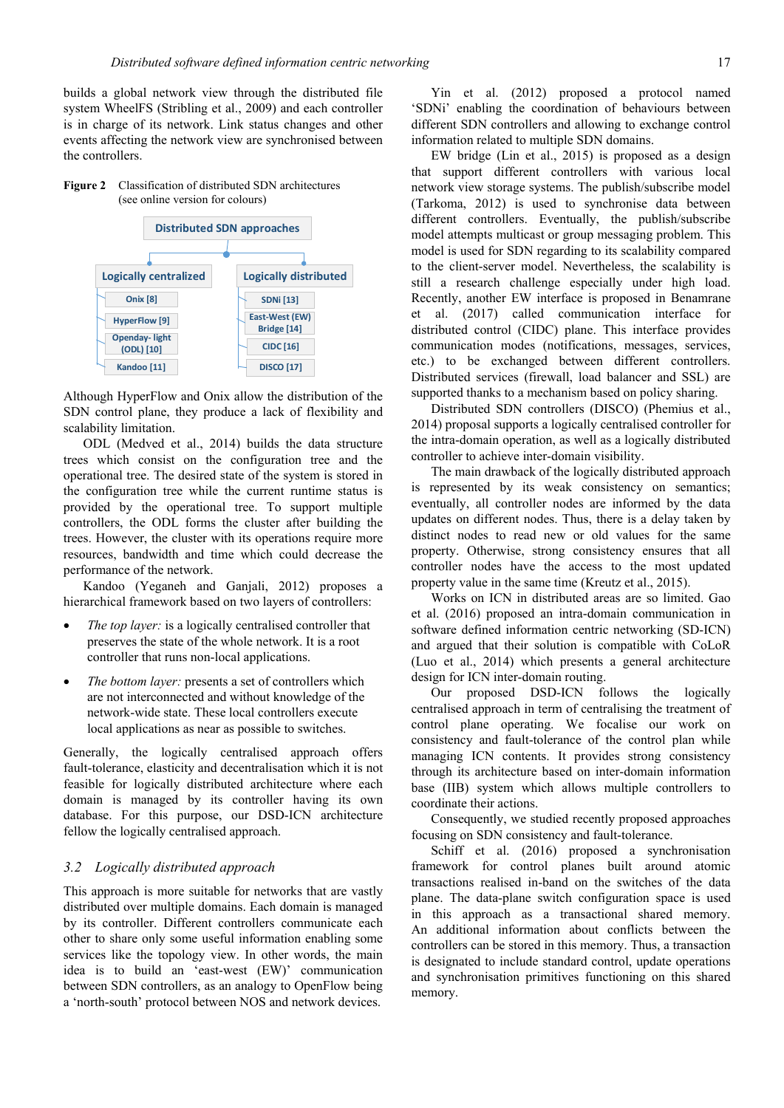builds a global network view through the distributed file system WheelFS (Stribling et al., 2009) and each controller is in charge of its network. Link status changes and other events affecting the network view are synchronised between the controllers.

#### **Figure 2** Classification of distributed SDN architectures (see online version for colours)



Although HyperFlow and Onix allow the distribution of the SDN control plane, they produce a lack of flexibility and scalability limitation.

ODL (Medved et al., 2014) builds the data structure trees which consist on the configuration tree and the operational tree. The desired state of the system is stored in the configuration tree while the current runtime status is provided by the operational tree. To support multiple controllers, the ODL forms the cluster after building the trees. However, the cluster with its operations require more resources, bandwidth and time which could decrease the performance of the network.

Kandoo (Yeganeh and Ganjali, 2012) proposes a hierarchical framework based on two layers of controllers:

- *The top layer:* is a logically centralised controller that preserves the state of the whole network. It is a root controller that runs non-local applications.
- *The bottom layer:* presents a set of controllers which are not interconnected and without knowledge of the network-wide state. These local controllers execute local applications as near as possible to switches.

Generally, the logically centralised approach offers fault-tolerance, elasticity and decentralisation which it is not feasible for logically distributed architecture where each domain is managed by its controller having its own database. For this purpose, our DSD-ICN architecture fellow the logically centralised approach.

#### *3.2 Logically distributed approach*

This approach is more suitable for networks that are vastly distributed over multiple domains. Each domain is managed by its controller. Different controllers communicate each other to share only some useful information enabling some services like the topology view. In other words, the main idea is to build an 'east-west (EW)' communication between SDN controllers, as an analogy to OpenFlow being a 'north-south' protocol between NOS and network devices.

Yin et al. (2012) proposed a protocol named 'SDNi' enabling the coordination of behaviours between different SDN controllers and allowing to exchange control information related to multiple SDN domains.

EW bridge (Lin et al., 2015) is proposed as a design that support different controllers with various local network view storage systems. The publish/subscribe model (Tarkoma, 2012) is used to synchronise data between different controllers. Eventually, the publish/subscribe model attempts multicast or group messaging problem. This model is used for SDN regarding to its scalability compared to the client-server model. Nevertheless, the scalability is still a research challenge especially under high load. Recently, another EW interface is proposed in Benamrane et al. (2017) called communication interface for distributed control (CIDC) plane. This interface provides communication modes (notifications, messages, services, etc.) to be exchanged between different controllers. Distributed services (firewall, load balancer and SSL) are supported thanks to a mechanism based on policy sharing.

Distributed SDN controllers (DISCO) (Phemius et al., 2014) proposal supports a logically centralised controller for the intra-domain operation, as well as a logically distributed controller to achieve inter-domain visibility.

The main drawback of the logically distributed approach is represented by its weak consistency on semantics; eventually, all controller nodes are informed by the data updates on different nodes. Thus, there is a delay taken by distinct nodes to read new or old values for the same property. Otherwise, strong consistency ensures that all controller nodes have the access to the most updated property value in the same time (Kreutz et al., 2015).

Works on ICN in distributed areas are so limited. Gao et al. (2016) proposed an intra-domain communication in software defined information centric networking (SD-ICN) and argued that their solution is compatible with CoLoR (Luo et al., 2014) which presents a general architecture design for ICN inter-domain routing.

Our proposed DSD-ICN follows the logically centralised approach in term of centralising the treatment of control plane operating. We focalise our work on consistency and fault-tolerance of the control plan while managing ICN contents. It provides strong consistency through its architecture based on inter-domain information base (IIB) system which allows multiple controllers to coordinate their actions.

Consequently, we studied recently proposed approaches focusing on SDN consistency and fault-tolerance.

Schiff et al. (2016) proposed a synchronisation framework for control planes built around atomic transactions realised in-band on the switches of the data plane. The data-plane switch configuration space is used in this approach as a transactional shared memory. An additional information about conflicts between the controllers can be stored in this memory. Thus, a transaction is designated to include standard control, update operations and synchronisation primitives functioning on this shared memory.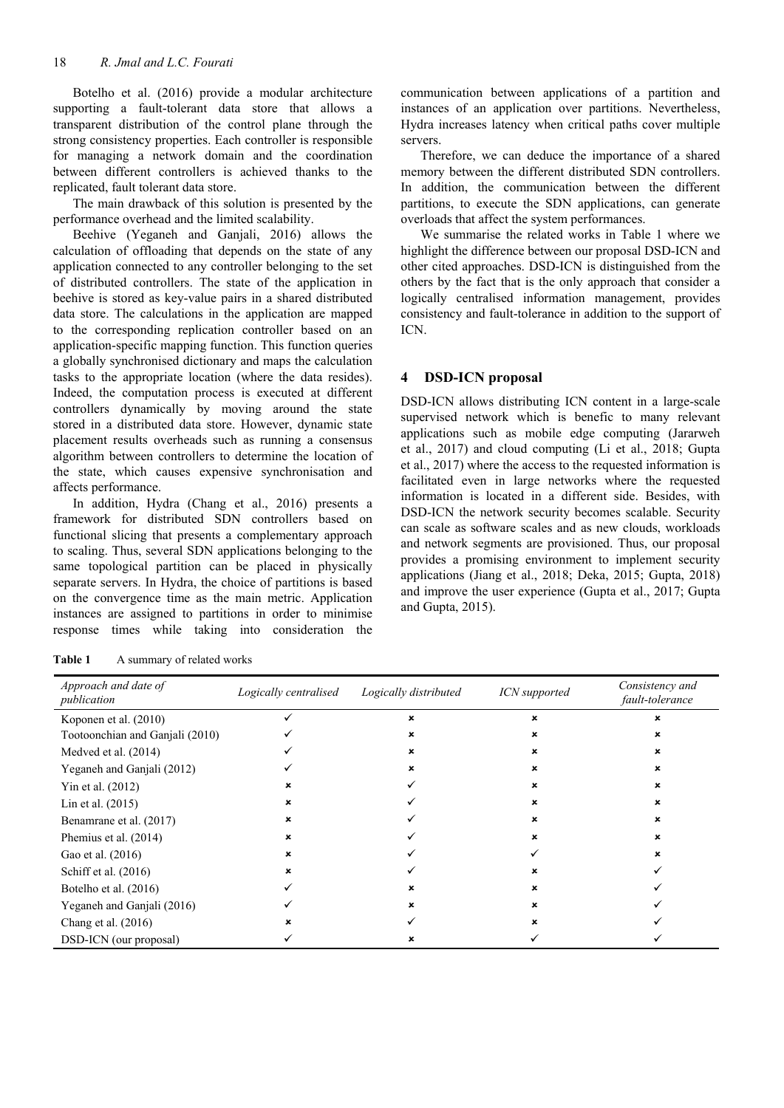Botelho et al. (2016) provide a modular architecture supporting a fault-tolerant data store that allows a transparent distribution of the control plane through the strong consistency properties. Each controller is responsible for managing a network domain and the coordination between different controllers is achieved thanks to the replicated, fault tolerant data store.

The main drawback of this solution is presented by the performance overhead and the limited scalability.

Beehive (Yeganeh and Ganjali, 2016) allows the calculation of offloading that depends on the state of any application connected to any controller belonging to the set of distributed controllers. The state of the application in beehive is stored as key-value pairs in a shared distributed data store. The calculations in the application are mapped to the corresponding replication controller based on an application-specific mapping function. This function queries a globally synchronised dictionary and maps the calculation tasks to the appropriate location (where the data resides). Indeed, the computation process is executed at different controllers dynamically by moving around the state stored in a distributed data store. However, dynamic state placement results overheads such as running a consensus algorithm between controllers to determine the location of the state, which causes expensive synchronisation and affects performance.

In addition, Hydra (Chang et al., 2016) presents a framework for distributed SDN controllers based on functional slicing that presents a complementary approach to scaling. Thus, several SDN applications belonging to the same topological partition can be placed in physically separate servers. In Hydra, the choice of partitions is based on the convergence time as the main metric. Application instances are assigned to partitions in order to minimise response times while taking into consideration the

communication between applications of a partition and instances of an application over partitions. Nevertheless, Hydra increases latency when critical paths cover multiple servers.

Therefore, we can deduce the importance of a shared memory between the different distributed SDN controllers. In addition, the communication between the different partitions, to execute the SDN applications, can generate overloads that affect the system performances.

We summarise the related works in Table 1 where we highlight the difference between our proposal DSD-ICN and other cited approaches. DSD-ICN is distinguished from the others by the fact that is the only approach that consider a logically centralised information management, provides consistency and fault-tolerance in addition to the support of ICN.

# **4 DSD-ICN proposal**

DSD-ICN allows distributing ICN content in a large-scale supervised network which is benefic to many relevant applications such as mobile edge computing (Jararweh et al., 2017) and cloud computing (Li et al., 2018; Gupta et al., 2017) where the access to the requested information is facilitated even in large networks where the requested information is located in a different side. Besides, with DSD-ICN the network security becomes scalable. Security can scale as software scales and as new clouds, workloads and network segments are provisioned. Thus, our proposal provides a promising environment to implement security applications (Jiang et al., 2018; Deka, 2015; Gupta, 2018) and improve the user experience (Gupta et al., 2017; Gupta and Gupta, 2015).

Table 1 A summary of related works

| Approach and date of<br>publication | Logically centralised | Logically distributed | ICN supported | Consistency and<br>fault-tolerance |
|-------------------------------------|-----------------------|-----------------------|---------------|------------------------------------|
| Koponen et al. (2010)               |                       |                       |               |                                    |
| Tootoonchian and Ganjali (2010)     |                       |                       |               |                                    |
| Medved et al. (2014)                |                       |                       |               |                                    |
| Yeganeh and Ganjali (2012)          |                       |                       |               |                                    |
| Yin et al. $(2012)$                 |                       |                       |               |                                    |
| Lin et al. $(2015)$                 |                       |                       |               |                                    |
| Benamrane et al. (2017)             |                       |                       |               |                                    |
| Phemius et al. (2014)               |                       |                       |               |                                    |
| Gao et al. (2016)                   |                       |                       |               |                                    |
| Schiff et al. (2016)                |                       |                       |               |                                    |
| Botelho et al. (2016)               |                       |                       |               |                                    |
| Yeganeh and Ganjali (2016)          |                       |                       |               |                                    |
| Chang et al. (2016)                 |                       |                       |               |                                    |
| DSD-ICN (our proposal)              |                       |                       |               |                                    |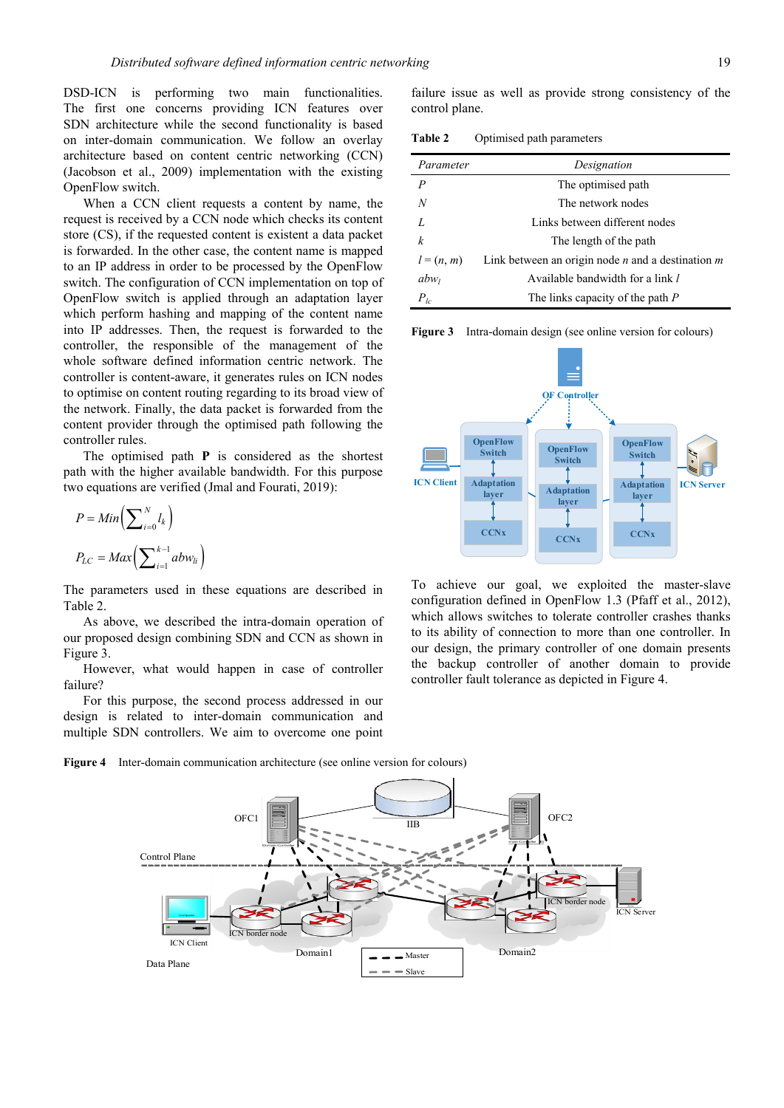DSD-ICN is performing two main functionalities. The first one concerns providing ICN features over SDN architecture while the second functionality is based on inter-domain communication. We follow an overlay architecture based on content centric networking (CCN) (Jacobson et al., 2009) implementation with the existing OpenFlow switch.

When a CCN client requests a content by name, the request is received by a CCN node which checks its content store (CS), if the requested content is existent a data packet is forwarded. In the other case, the content name is mapped to an IP address in order to be processed by the OpenFlow switch. The configuration of CCN implementation on top of OpenFlow switch is applied through an adaptation layer which perform hashing and mapping of the content name into IP addresses. Then, the request is forwarded to the controller, the responsible of the management of the whole software defined information centric network. The controller is content-aware, it generates rules on ICN nodes to optimise on content routing regarding to its broad view of the network. Finally, the data packet is forwarded from the content provider through the optimised path following the controller rules.

The optimised path **P** is considered as the shortest path with the higher available bandwidth. For this purpose two equations are verified (Jmal and Fourati, 2019):

$$
P = Min\left(\sum_{i=0}^{N} l_k\right)
$$

$$
P_{LC} = Max\left(\sum_{i=1}^{k-1} abw_{li}\right)
$$

The parameters used in these equations are described in Table 2.

As above, we described the intra-domain operation of our proposed design combining SDN and CCN as shown in Figure 3.

However, what would happen in case of controller failure?

For this purpose, the second process addressed in our design is related to inter-domain communication and multiple SDN controllers. We aim to overcome one point

failure issue as well as provide strong consistency of the control plane.

**Table 2** Optimised path parameters

| Parameter  | Designation                                           |  |  |
|------------|-------------------------------------------------------|--|--|
| P          | The optimised path                                    |  |  |
| N          | The network nodes                                     |  |  |
|            | Links between different nodes                         |  |  |
| k          | The length of the path                                |  |  |
| $l=(n, m)$ | Link between an origin node $n$ and a destination $m$ |  |  |
| $abw_1$    | Available bandwidth for a link l                      |  |  |
| $P_{lc}$   | The links capacity of the path $P$                    |  |  |

**Figure 3** Intra-domain design (see online version for colours)



To achieve our goal, we exploited the master-slave configuration defined in OpenFlow 1.3 (Pfaff et al., 2012), which allows switches to tolerate controller crashes thanks to its ability of connection to more than one controller. In our design, the primary controller of one domain presents the backup controller of another domain to provide controller fault tolerance as depicted in Figure 4.

**Figure 4** Inter-domain communication architecture (see online version for colours)

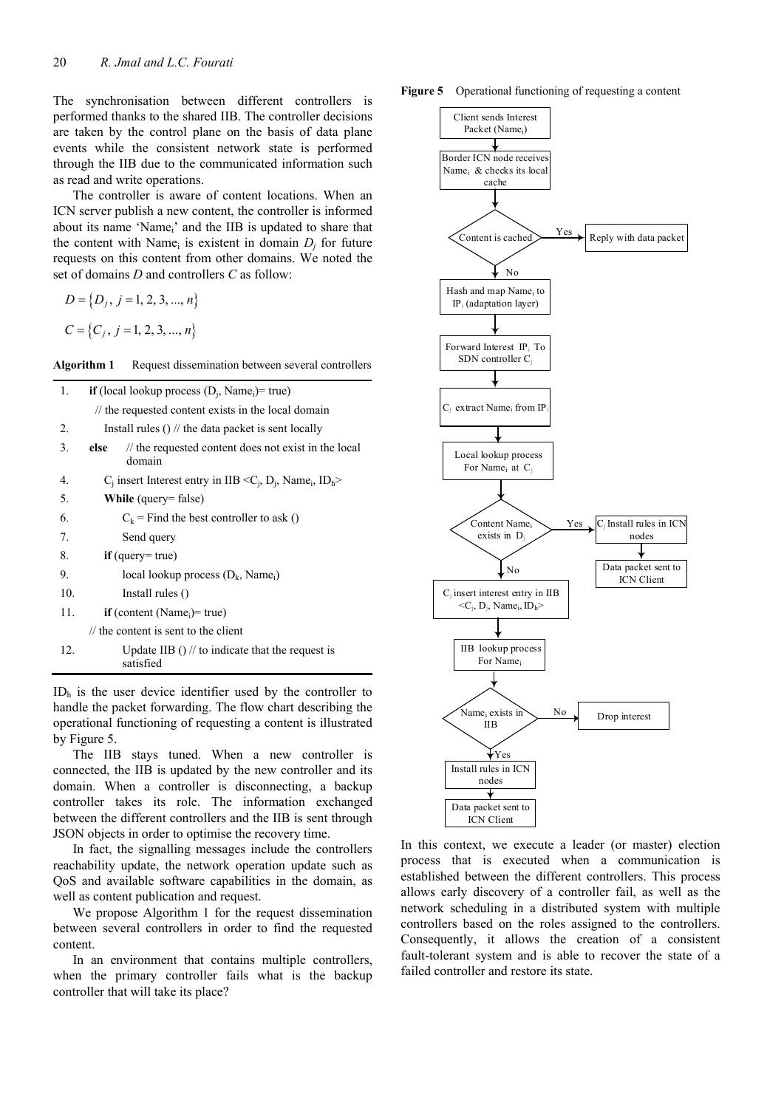The synchronisation between different controllers is performed thanks to the shared IIB. The controller decisions are taken by the control plane on the basis of data plane events while the consistent network state is performed through the IIB due to the communicated information such as read and write operations.

The controller is aware of content locations. When an ICN server publish a new content, the controller is informed about its name 'Name;' and the IIB is updated to share that the content with Name<sub>i</sub> is existent in domain  $D_i$  for future requests on this content from other domains. We noted the set of domains *D* and controllers *C* as follow:

$$
D = \{D_j, j = 1, 2, 3, ..., n\}
$$

$$
C = \{C_j, j = 1, 2, 3, ..., n\}
$$

|     | Algorithm 1 | Request dissemination between several controllers                                          |
|-----|-------------|--------------------------------------------------------------------------------------------|
| 1.  |             | if (local lookup process $(D_i, Name_i)$ = true)                                           |
|     |             | // the requested content exists in the local domain                                        |
| 2.  |             | Install rules $()$ // the data packet is sent locally                                      |
| 3.  | else        | // the requested content does not exist in the local<br>domain                             |
| 4.  |             | $C_i$ insert Interest entry in IIB < $C_i$ , $D_i$ , Name <sub>i</sub> , ID <sub>h</sub> > |
| 5.  |             | <b>While</b> (query= false)                                                                |
| 6.  |             | $C_k$ = Find the best controller to ask ()                                                 |
| 7.  |             | Send query                                                                                 |
| 8.  |             | $if$ (query= true)                                                                         |
| 9.  |             | local lookup process $(D_k, Name_i)$                                                       |
| 10. |             | Install rules ()                                                                           |
| 11. |             | <b>if</b> (content (Name <sub>i</sub> )= true)                                             |
|     |             | $\frac{1}{1}$ the content is sent to the client                                            |
| 12. |             | Update IIB $()$ // to indicate that the request is<br>satisfied                            |
|     |             |                                                                                            |

 $ID<sub>h</sub>$  is the user device identifier used by the controller to handle the packet forwarding. The flow chart describing the operational functioning of requesting a content is illustrated by Figure 5.

The IIB stays tuned. When a new controller is connected, the IIB is updated by the new controller and its domain. When a controller is disconnecting, a backup controller takes its role. The information exchanged between the different controllers and the IIB is sent through JSON objects in order to optimise the recovery time.

In fact, the signalling messages include the controllers reachability update, the network operation update such as QoS and available software capabilities in the domain, as well as content publication and request.

We propose Algorithm 1 for the request dissemination between several controllers in order to find the requested content.

In an environment that contains multiple controllers, when the primary controller fails what is the backup controller that will take its place?

**Figure 5** Operational functioning of requesting a content



In this context, we execute a leader (or master) election process that is executed when a communication is established between the different controllers. This process allows early discovery of a controller fail, as well as the network scheduling in a distributed system with multiple controllers based on the roles assigned to the controllers. Consequently, it allows the creation of a consistent fault-tolerant system and is able to recover the state of a failed controller and restore its state.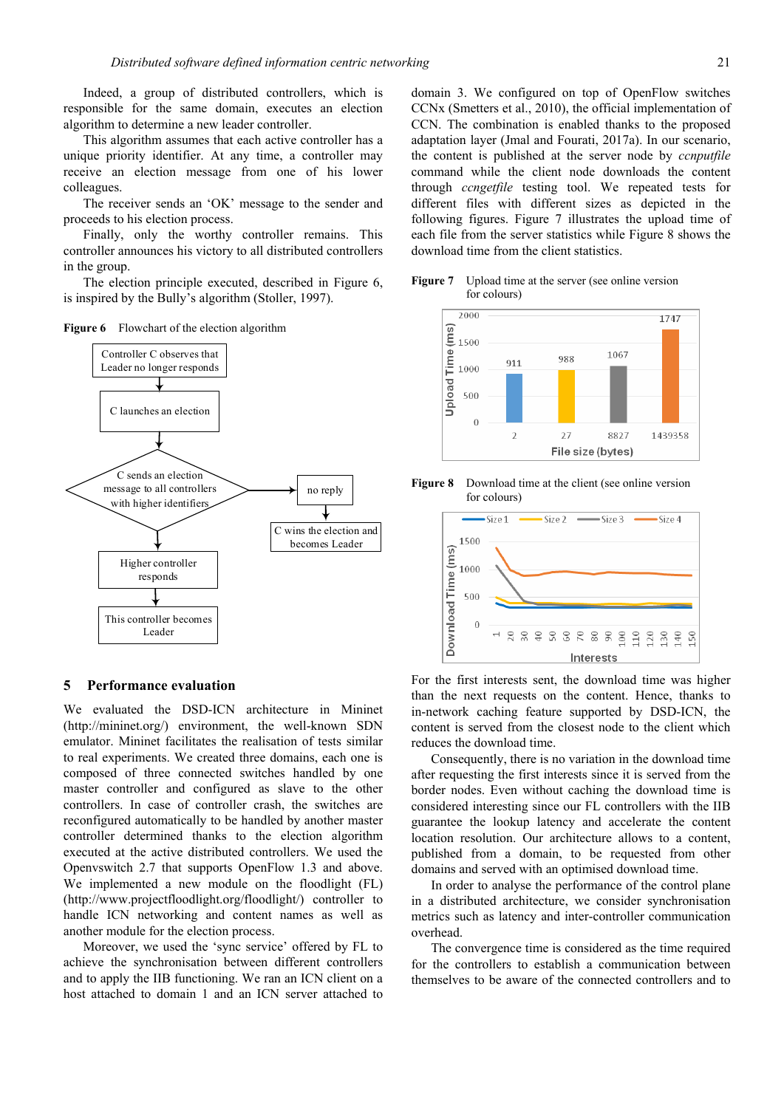Indeed, a group of distributed controllers, which is responsible for the same domain, executes an election algorithm to determine a new leader controller.

This algorithm assumes that each active controller has a unique priority identifier. At any time, a controller may receive an election message from one of his lower colleagues.

The receiver sends an 'OK' message to the sender and proceeds to his election process.

Finally, only the worthy controller remains. This controller announces his victory to all distributed controllers in the group.

The election principle executed, described in Figure 6, is inspired by the Bully's algorithm (Stoller, 1997).

**Figure 6** Flowchart of the election algorithm



#### **5 Performance evaluation**

We evaluated the DSD-ICN architecture in Mininet (http://mininet.org/) environment, the well-known SDN emulator. Mininet facilitates the realisation of tests similar to real experiments. We created three domains, each one is composed of three connected switches handled by one master controller and configured as slave to the other controllers. In case of controller crash, the switches are reconfigured automatically to be handled by another master controller determined thanks to the election algorithm executed at the active distributed controllers. We used the Openvswitch 2.7 that supports OpenFlow 1.3 and above. We implemented a new module on the floodlight (FL) (http://www.projectfloodlight.org/floodlight/) controller to handle ICN networking and content names as well as another module for the election process.

Moreover, we used the 'sync service' offered by FL to achieve the synchronisation between different controllers and to apply the IIB functioning. We ran an ICN client on a host attached to domain 1 and an ICN server attached to domain 3. We configured on top of OpenFlow switches CCNx (Smetters et al., 2010), the official implementation of CCN. The combination is enabled thanks to the proposed adaptation layer (Jmal and Fourati, 2017a). In our scenario, the content is published at the server node by *ccnputfile* command while the client node downloads the content through *ccngetfile* testing tool. We repeated tests for different files with different sizes as depicted in the following figures. Figure 7 illustrates the upload time of each file from the server statistics while Figure 8 shows the download time from the client statistics.

Figure 7 Upload time at the server (see online version for colours)



**Figure 8** Download time at the client (see online version for colours)



For the first interests sent, the download time was higher than the next requests on the content. Hence, thanks to in-network caching feature supported by DSD-ICN, the content is served from the closest node to the client which reduces the download time.

Consequently, there is no variation in the download time after requesting the first interests since it is served from the border nodes. Even without caching the download time is considered interesting since our FL controllers with the IIB guarantee the lookup latency and accelerate the content location resolution. Our architecture allows to a content, published from a domain, to be requested from other domains and served with an optimised download time.

In order to analyse the performance of the control plane in a distributed architecture, we consider synchronisation metrics such as latency and inter-controller communication overhead.

The convergence time is considered as the time required for the controllers to establish a communication between themselves to be aware of the connected controllers and to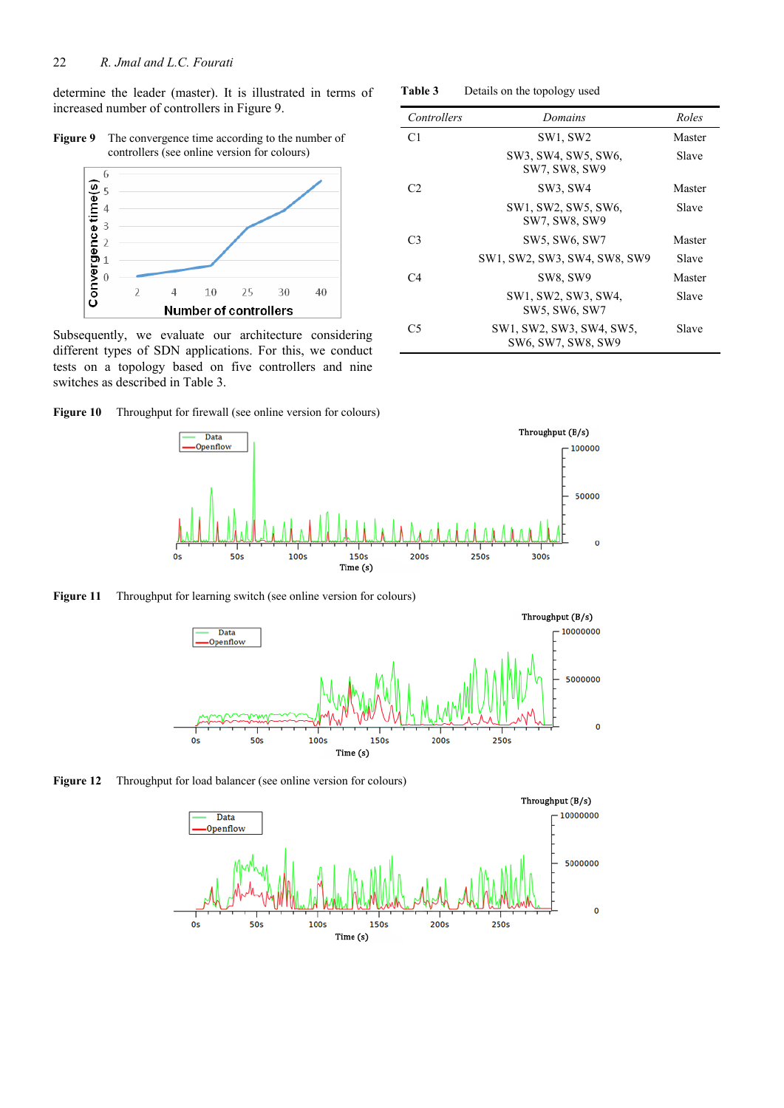determine the leader (master). It is illustrated in terms of increased number of controllers in Figure 9.

Figure 9 The convergence time according to the number of



Subsequently, we evaluate our architecture considering different types of SDN applications. For this, we conduct tests on a topology based on five controllers and nine switches as described in Table 3.

Figure 10 Throughput for firewall (see online version for colours)

**Table 3** Details on the topology used

| Controllers | Domains                                        | Roles  |
|-------------|------------------------------------------------|--------|
| C1          | SW1, SW2                                       | Master |
|             | SW3, SW4, SW5, SW6,<br>SW7, SW8, SW9           | Slave  |
| C2          | SW3, SW4                                       | Master |
|             | SW1, SW2, SW5, SW6,<br>SW7, SW8, SW9           | Slave  |
| C3          | SW5, SW6, SW7                                  | Master |
|             | SW1, SW2, SW3, SW4, SW8, SW9                   | Slave  |
| C4          | SW8, SW9                                       | Master |
|             | SW1, SW2, SW3, SW4,<br>SW5, SW6, SW7           | Slave  |
| C5          | SW1, SW2, SW3, SW4, SW5,<br>SW6, SW7, SW8, SW9 | Slave  |



Figure 11 Throughput for learning switch (see online version for colours)



**Figure 12** Throughput for load balancer (see online version for colours)

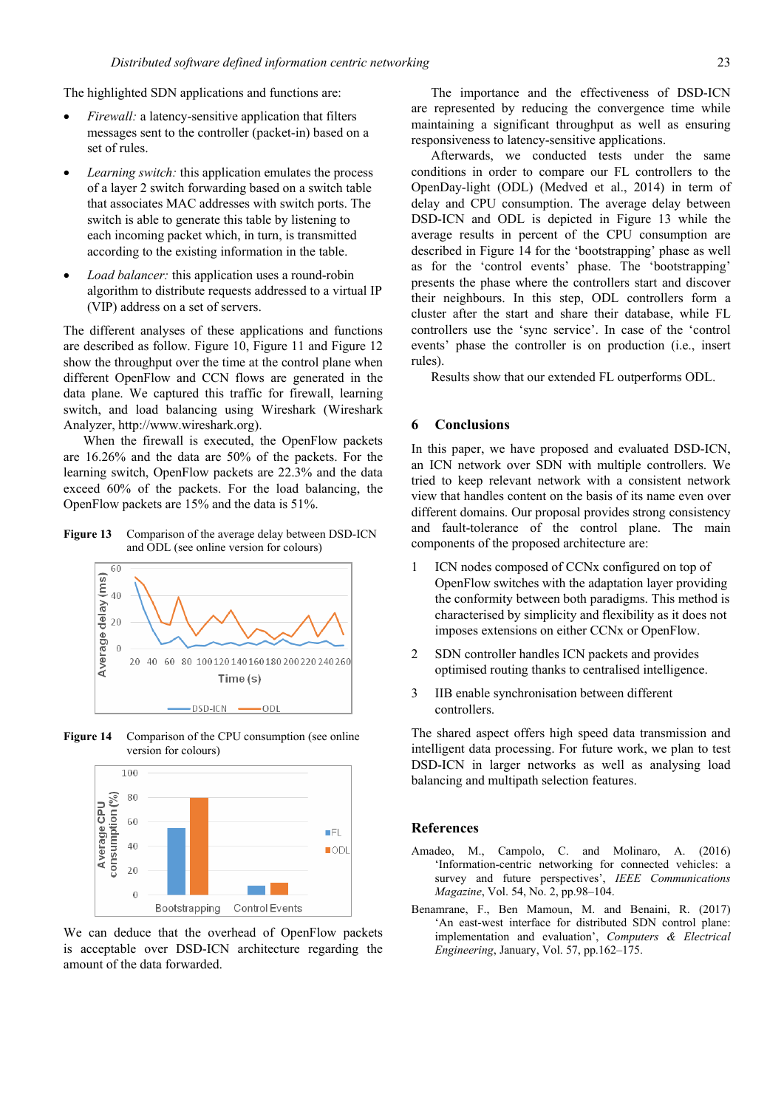The highlighted SDN applications and functions are:

- *Firewall:* a latency-sensitive application that filters messages sent to the controller (packet-in) based on a set of rules.
- *Learning switch:* this application emulates the process of a layer 2 switch forwarding based on a switch table that associates MAC addresses with switch ports. The switch is able to generate this table by listening to each incoming packet which, in turn, is transmitted according to the existing information in the table.
- *Load balancer:* this application uses a round-robin algorithm to distribute requests addressed to a virtual IP (VIP) address on a set of servers.

The different analyses of these applications and functions are described as follow. Figure 10, Figure 11 and Figure 12 show the throughput over the time at the control plane when different OpenFlow and CCN flows are generated in the data plane. We captured this traffic for firewall, learning switch, and load balancing using Wireshark (Wireshark Analyzer, http://www.wireshark.org).

When the firewall is executed, the OpenFlow packets are 16.26% and the data are 50% of the packets. For the learning switch, OpenFlow packets are 22.3% and the data exceed 60% of the packets. For the load balancing, the OpenFlow packets are 15% and the data is 51%.

Figure 13 Comparison of the average delay between DSD-ICN and ODL (see online version for colours)



Figure 14 Comparison of the CPU consumption (see online version for colours)



We can deduce that the overhead of OpenFlow packets is acceptable over DSD-ICN architecture regarding the amount of the data forwarded.

The importance and the effectiveness of DSD-ICN are represented by reducing the convergence time while maintaining a significant throughput as well as ensuring responsiveness to latency-sensitive applications.

Afterwards, we conducted tests under the same conditions in order to compare our FL controllers to the OpenDay-light (ODL) (Medved et al., 2014) in term of delay and CPU consumption. The average delay between DSD-ICN and ODL is depicted in Figure 13 while the average results in percent of the CPU consumption are described in Figure 14 for the 'bootstrapping' phase as well as for the 'control events' phase. The 'bootstrapping' presents the phase where the controllers start and discover their neighbours. In this step, ODL controllers form a cluster after the start and share their database, while FL controllers use the 'sync service'. In case of the 'control events' phase the controller is on production (i.e., insert rules).

Results show that our extended FL outperforms ODL.

# **6 Conclusions**

In this paper, we have proposed and evaluated DSD-ICN, an ICN network over SDN with multiple controllers. We tried to keep relevant network with a consistent network view that handles content on the basis of its name even over different domains. Our proposal provides strong consistency and fault-tolerance of the control plane. The main components of the proposed architecture are:

- 1 ICN nodes composed of CCNx configured on top of OpenFlow switches with the adaptation layer providing the conformity between both paradigms. This method is characterised by simplicity and flexibility as it does not imposes extensions on either CCNx or OpenFlow.
- 2 SDN controller handles ICN packets and provides optimised routing thanks to centralised intelligence.
- 3 IIB enable synchronisation between different controllers.

The shared aspect offers high speed data transmission and intelligent data processing. For future work, we plan to test DSD-ICN in larger networks as well as analysing load balancing and multipath selection features.

#### **References**

- Amadeo, M., Campolo, C. and Molinaro, A. (2016) 'Information-centric networking for connected vehicles: a survey and future perspectives', *IEEE Communications Magazine*, Vol. 54, No. 2, pp.98–104.
- Benamrane, F., Ben Mamoun, M. and Benaini, R. (2017) 'An east-west interface for distributed SDN control plane: implementation and evaluation', *Computers & Electrical Engineering*, January, Vol. 57, pp.162–175.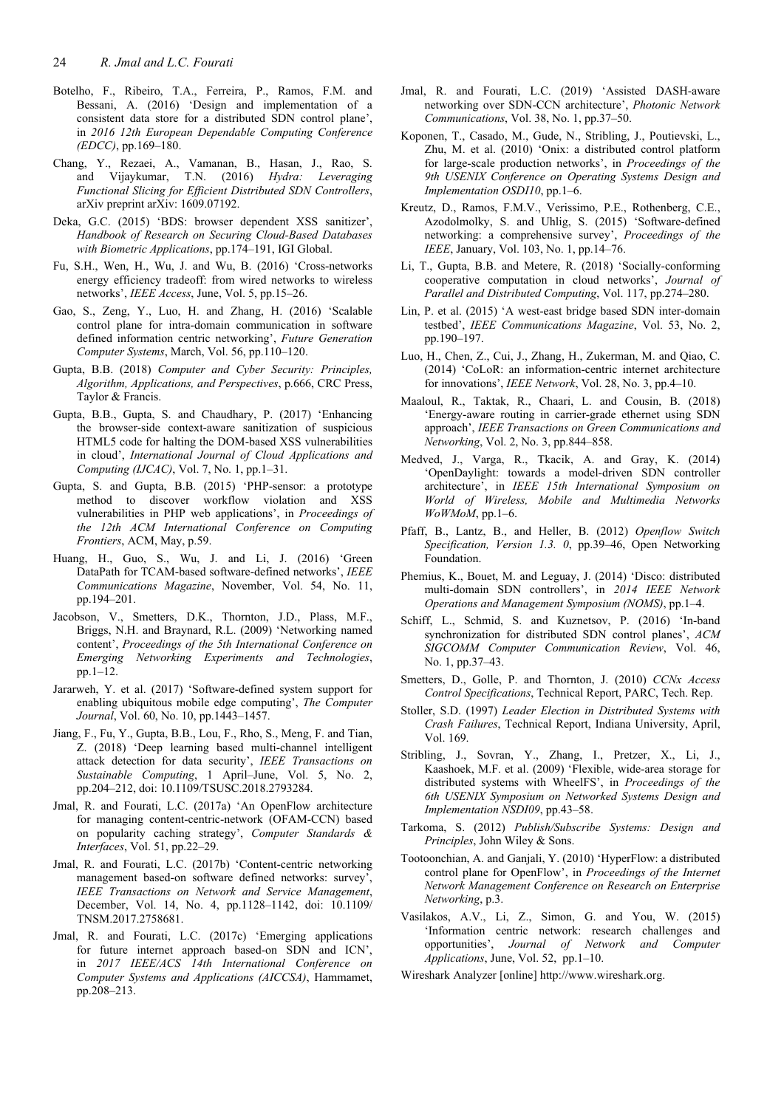- Botelho, F., Ribeiro, T.A., Ferreira, P., Ramos, F.M. and Bessani, A. (2016) 'Design and implementation of a consistent data store for a distributed SDN control plane', in *2016 12th European Dependable Computing Conference (EDCC)*, pp.169–180.
- Chang, Y., Rezaei, A., Vamanan, B., Hasan, J., Rao, S. and Vijaykumar, T.N. (2016) *Hydra: Leveraging Functional Slicing for Efficient Distributed SDN Controllers*, arXiv preprint arXiv: 1609.07192.
- Deka, G.C. (2015) 'BDS: browser dependent XSS sanitizer', *Handbook of Research on Securing Cloud-Based Databases with Biometric Applications*, pp.174–191, IGI Global.
- Fu, S.H., Wen, H., Wu, J. and Wu, B. (2016) 'Cross-networks energy efficiency tradeoff: from wired networks to wireless networks', *IEEE Access*, June, Vol. 5, pp.15–26.
- Gao, S., Zeng, Y., Luo, H. and Zhang, H. (2016) 'Scalable control plane for intra-domain communication in software defined information centric networking', *Future Generation Computer Systems*, March, Vol. 56, pp.110–120.
- Gupta, B.B. (2018) *Computer and Cyber Security: Principles, Algorithm, Applications, and Perspectives*, p.666, CRC Press, Taylor & Francis.
- Gupta, B.B., Gupta, S. and Chaudhary, P. (2017) 'Enhancing the browser-side context-aware sanitization of suspicious HTML5 code for halting the DOM-based XSS vulnerabilities in cloud', *International Journal of Cloud Applications and Computing (IJCAC)*, Vol. 7, No. 1, pp.1–31.
- Gupta, S. and Gupta, B.B. (2015) 'PHP-sensor: a prototype method to discover workflow violation and XSS vulnerabilities in PHP web applications', in *Proceedings of the 12th ACM International Conference on Computing Frontiers*, ACM, May, p.59.
- Huang, H., Guo, S., Wu, J. and Li, J. (2016) 'Green DataPath for TCAM-based software-defined networks', *IEEE Communications Magazine*, November, Vol. 54, No. 11, pp.194–201.
- Jacobson, V., Smetters, D.K., Thornton, J.D., Plass, M.F., Briggs, N.H. and Braynard, R.L. (2009) 'Networking named content', *Proceedings of the 5th International Conference on Emerging Networking Experiments and Technologies*, pp.1–12.
- Jararweh, Y. et al. (2017) 'Software-defined system support for enabling ubiquitous mobile edge computing', *The Computer Journal*, Vol. 60, No. 10, pp.1443–1457.
- Jiang, F., Fu, Y., Gupta, B.B., Lou, F., Rho, S., Meng, F. and Tian, Z. (2018) 'Deep learning based multi-channel intelligent attack detection for data security', *IEEE Transactions on Sustainable Computing*, 1 April–June, Vol. 5, No. 2, pp.204–212, doi: 10.1109/TSUSC.2018.2793284.
- Jmal, R. and Fourati, L.C. (2017a) 'An OpenFlow architecture for managing content-centric-network (OFAM-CCN) based on popularity caching strategy', *Computer Standards & Interfaces*, Vol. 51, pp.22–29.
- Jmal, R. and Fourati, L.C. (2017b) 'Content-centric networking management based-on software defined networks: survey', *IEEE Transactions on Network and Service Management*, December, Vol. 14, No. 4, pp.1128–1142, doi: 10.1109/ TNSM.2017.2758681.
- Jmal, R. and Fourati, L.C. (2017c) 'Emerging applications for future internet approach based-on SDN and ICN', in *2017 IEEE/ACS 14th International Conference on Computer Systems and Applications (AICCSA)*, Hammamet, pp.208–213.
- Jmal, R. and Fourati, L.C. (2019) 'Assisted DASH-aware networking over SDN-CCN architecture', *Photonic Network Communications*, Vol. 38, No. 1, pp.37–50.
- Koponen, T., Casado, M., Gude, N., Stribling, J., Poutievski, L., Zhu, M. et al. (2010) 'Onix: a distributed control platform for large-scale production networks', in *Proceedings of the 9th USENIX Conference on Operating Systems Design and Implementation OSDI10*, pp.1–6.
- Kreutz, D., Ramos, F.M.V., Verissimo, P.E., Rothenberg, C.E., Azodolmolky, S. and Uhlig, S. (2015) 'Software-defined networking: a comprehensive survey', *Proceedings of the IEEE*, January, Vol. 103, No. 1, pp.14–76.
- Li, T., Gupta, B.B. and Metere, R. (2018) 'Socially-conforming cooperative computation in cloud networks', *Journal of Parallel and Distributed Computing*, Vol. 117, pp.274–280.
- Lin, P. et al. (2015) 'A west-east bridge based SDN inter-domain testbed', *IEEE Communications Magazine*, Vol. 53, No. 2, pp.190–197.
- Luo, H., Chen, Z., Cui, J., Zhang, H., Zukerman, M. and Qiao, C. (2014) 'CoLoR: an information-centric internet architecture for innovations', *IEEE Network*, Vol. 28, No. 3, pp.4–10.
- Maaloul, R., Taktak, R., Chaari, L. and Cousin, B. (2018) 'Energy-aware routing in carrier-grade ethernet using SDN approach', *IEEE Transactions on Green Communications and Networking*, Vol. 2, No. 3, pp.844–858.
- Medved, J., Varga, R., Tkacik, A. and Gray, K. (2014) 'OpenDaylight: towards a model-driven SDN controller architecture', in *IEEE 15th International Symposium on World of Wireless, Mobile and Multimedia Networks WoWMoM*, pp.1–6.
- Pfaff, B., Lantz, B., and Heller, B. (2012) *Openflow Switch Specification, Version 1.3. 0*, pp.39–46, Open Networking Foundation.
- Phemius, K., Bouet, M. and Leguay, J. (2014) 'Disco: distributed multi-domain SDN controllers', in *2014 IEEE Network Operations and Management Symposium (NOMS)*, pp.1–4.
- Schiff, L., Schmid, S. and Kuznetsov, P. (2016) 'In-band synchronization for distributed SDN control planes', *ACM SIGCOMM Computer Communication Review*, Vol. 46, No. 1, pp.37–43.
- Smetters, D., Golle, P. and Thornton, J. (2010) *CCNx Access Control Specifications*, Technical Report, PARC, Tech. Rep.
- Stoller, S.D. (1997) *Leader Election in Distributed Systems with Crash Failures*, Technical Report, Indiana University, April, Vol. 169.
- Stribling, J., Sovran, Y., Zhang, I., Pretzer, X., Li, J., Kaashoek, M.F. et al. (2009) 'Flexible, wide-area storage for distributed systems with WheelFS', in *Proceedings of the 6th USENIX Symposium on Networked Systems Design and Implementation NSDI09*, pp.43–58.
- Tarkoma, S. (2012) *Publish/Subscribe Systems: Design and Principles*, John Wiley & Sons.
- Tootoonchian, A. and Ganjali, Y. (2010) 'HyperFlow: a distributed control plane for OpenFlow', in *Proceedings of the Internet Network Management Conference on Research on Enterprise Networking*, p.3.
- Vasilakos, A.V., Li, Z., Simon, G. and You, W. (2015) 'Information centric network: research challenges and opportunities', *Journal of Network and Computer Applications*, June, Vol. 52, pp.1–10.
- Wireshark Analyzer [online] http://www.wireshark.org.